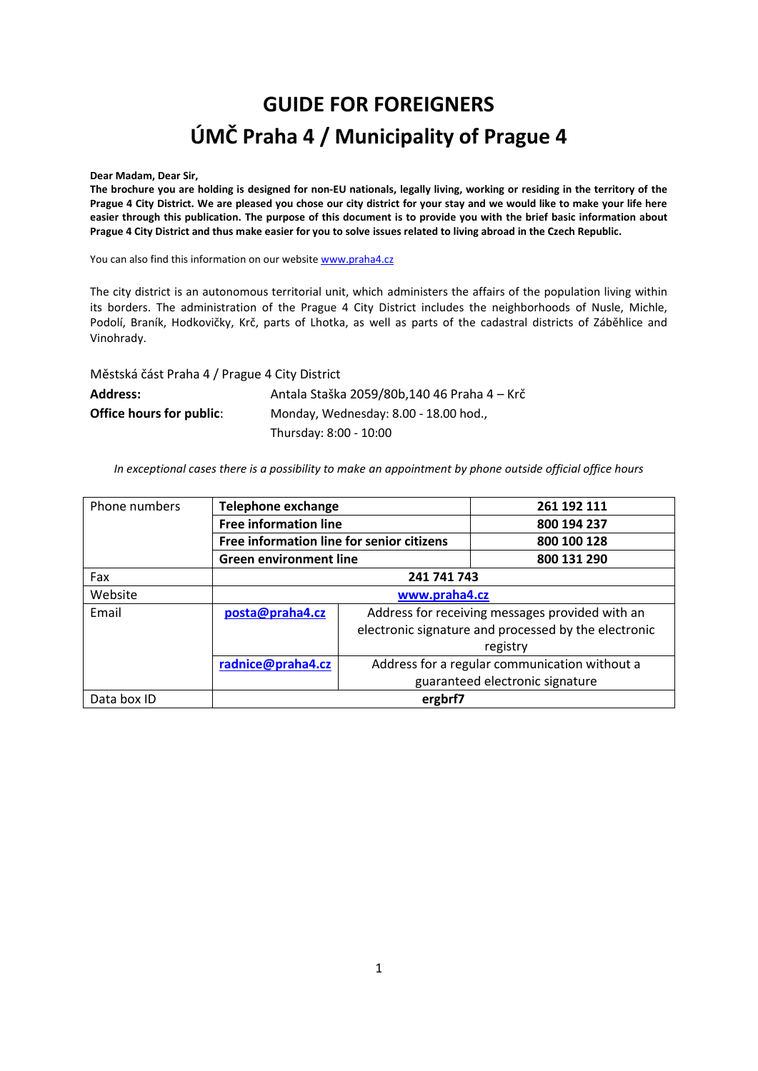# **GUIDE FOR FOREIGNERS ÚMČ Praha 4 / Municipality of Prague 4**

**Dear Madam, Dear Sir,** 

**The brochure you are holding is designed for non-EU nationals, legally living, working or residing in the territory of the Prague 4 City District. We are pleased you chose our city district for your stay and we would like to make your life here easier through this publication. The purpose of this document is to provide you with the brief basic information about Prague 4 City District and thus make easier for you to solve issues related to living abroad in the Czech Republic.** 

You can also find this information on our websit[e www.praha4.cz](http://www.praha4.cz/)

The city district is an autonomous territorial unit, which administers the affairs of the population living within its borders. The administration of the Prague 4 City District includes the neighborhoods of Nusle, Michle, Podolí, Braník, Hodkovičky, Krč, parts of Lhotka, as well as parts of the cadastral districts of Záběhlice and Vinohrady.

Městská část Praha 4 / Prague 4 City District

| <b>Address:</b>          | Antala Staška 2059/80b,140 46 Praha 4 - Krč |  |  |
|--------------------------|---------------------------------------------|--|--|
| Office hours for public: | Monday, Wednesday: 8.00 - 18.00 hod.,       |  |  |
|                          | Thursday: 8:00 - 10:00                      |  |  |

*In exceptional cases there is a possibility to make an appointment by phone outside official office hours* 

| Phone numbers | <b>Telephone exchange</b>                 |                                                 | 261 192 111                                          |  |
|---------------|-------------------------------------------|-------------------------------------------------|------------------------------------------------------|--|
|               | <b>Free information line</b>              |                                                 | 800 194 237                                          |  |
|               | Free information line for senior citizens |                                                 | 800 100 128                                          |  |
|               | <b>Green environment line</b>             |                                                 | 800 131 290                                          |  |
| Fax           | 241 741 743                               |                                                 |                                                      |  |
| Website       | www.praha4.cz                             |                                                 |                                                      |  |
| Email         | posta@praha4.cz                           | Address for receiving messages provided with an |                                                      |  |
|               |                                           |                                                 | electronic signature and processed by the electronic |  |
|               |                                           | registry                                        |                                                      |  |
|               | radnice@praha4.cz                         | Address for a regular communication without a   |                                                      |  |
|               |                                           |                                                 | guaranteed electronic signature                      |  |
| Data box ID   | ergbrf7                                   |                                                 |                                                      |  |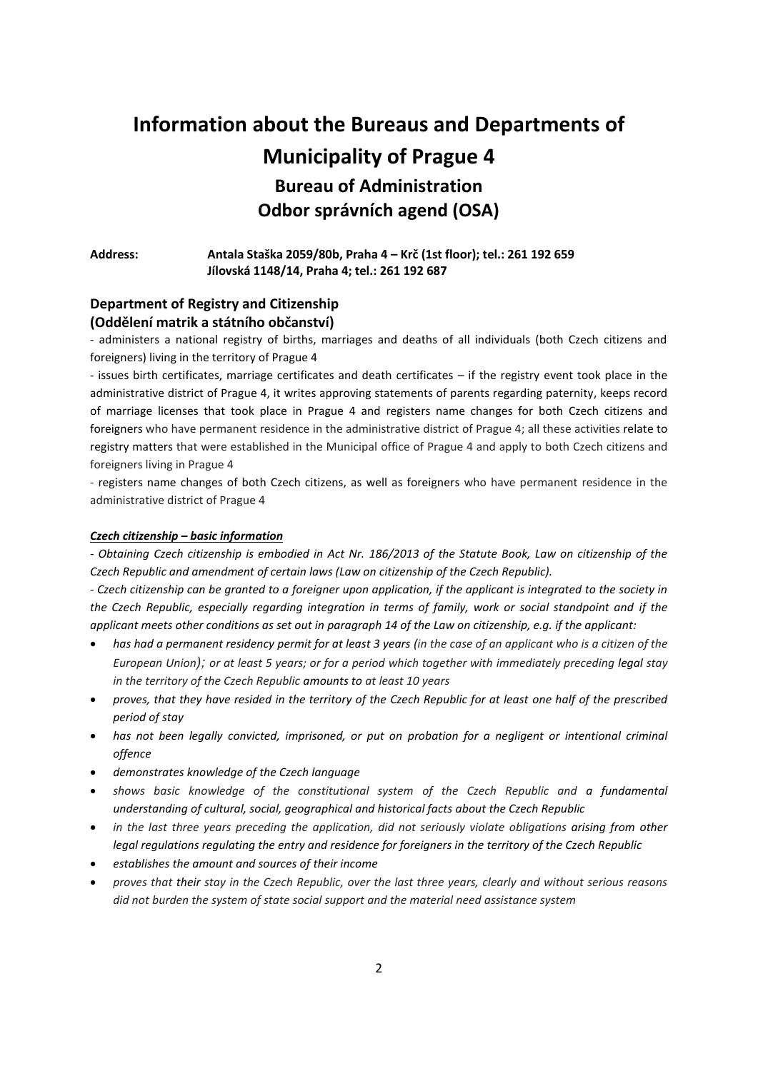# **Information about the Bureaus and Departments of Municipality of Prague 4 Bureau of Administration Odbor správních agend (OSA)**

**Address: Antala Staška 2059/80b, Praha 4 – Krč (1st floor); tel.: 261 192 659 Jílovská 1148/14, Praha 4; tel.: 261 192 687** 

## **Department of Registry and Citizenship (Oddělení matrik a státního občanství)**

- administers a national registry of births, marriages and deaths of all individuals (both Czech citizens and foreigners) living in the territory of Prague 4

- issues birth certificates, marriage certificates and death certificates – if the registry event took place in the administrative district of Prague 4, it writes approving statements of parents regarding paternity, keeps record of marriage licenses that took place in Prague 4 and registers name changes for both Czech citizens and foreigners who have permanent residence in the administrative district of Prague 4; all these activities relate to registry matters that were established in the Municipal office of Prague 4 and apply to both Czech citizens and foreigners living in Prague 4

- registers name changes of both Czech citizens, as well as foreigners who have permanent residence in the administrative district of Prague 4

#### *Czech citizenship – basic information*

*- Obtaining Czech citizenship is embodied in Act Nr. 186/2013 of the Statute Book, Law on citizenship of the Czech Republic and amendment of certain laws (Law on citizenship of the Czech Republic).* 

*- Czech citizenship can be granted to a foreigner upon application, if the applicant is integrated to the society in the Czech Republic, especially regarding integration in terms of family, work or social standpoint and if the applicant meets other conditions as set out in paragraph 14 of the Law on citizenship, e.g. if the applicant:* 

- *has had a permanent residency permit for at least 3 years (in the case of an applicant who is a citizen of the European Union); or at least 5 years; or for a period which together with immediately preceding legal stay in the territory of the Czech Republic amounts to at least 10 years*
- *proves, that they have resided in the territory of the Czech Republic for at least one half of the prescribed period of stay*
- *has not been legally convicted, imprisoned, or put on probation for a negligent or intentional criminal offence*
- *demonstrates knowledge of the Czech language*
- *shows basic knowledge of the constitutional system of the Czech Republic and a fundamental understanding of cultural, social, geographical and historical facts about the Czech Republic*
- *in the last three years preceding the application, did not seriously violate obligations arising from other legal regulations regulating the entry and residence for foreigners in the territory of the Czech Republic*
- *establishes the amount and sources of their income*
- *proves that their stay in the Czech Republic, over the last three years, clearly and without serious reasons did not burden the system of state social support and the material need assistance system*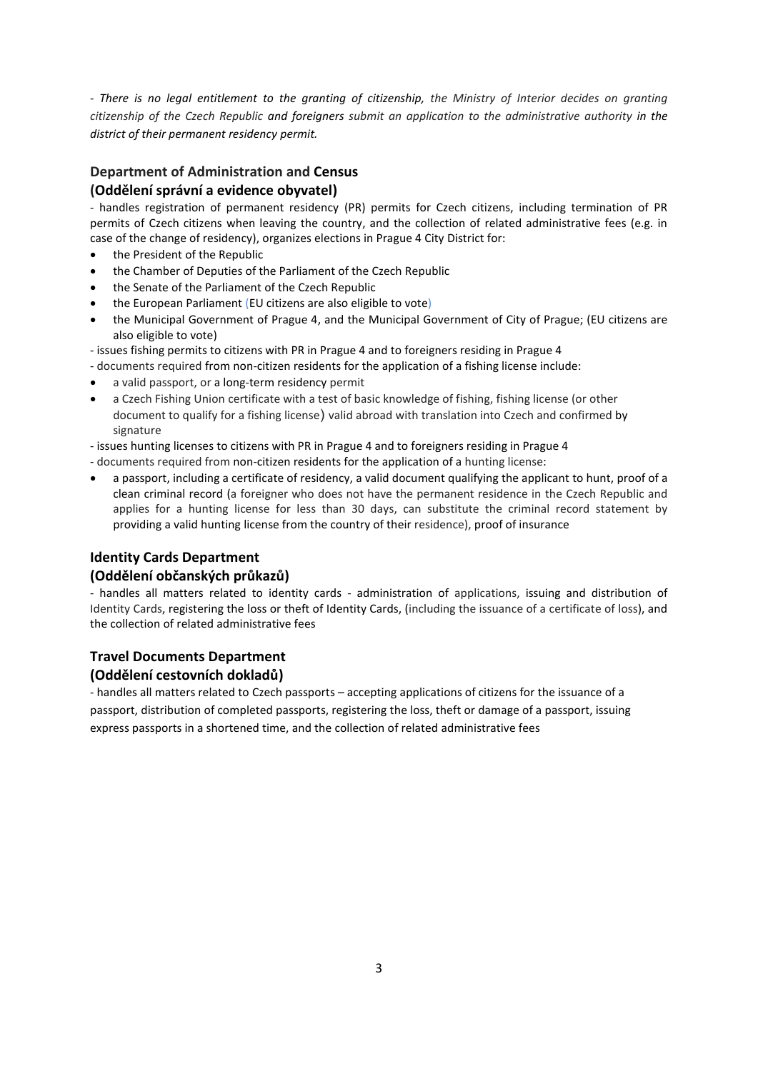*- There is no legal entitlement to the granting of citizenship, the Ministry of Interior decides on granting citizenship of the Czech Republic and foreigners submit an application to the administrative authority in the district of their permanent residency permit.*

# **Department of Administration and Census**  $\langle$ Oddělení správní a evidence obyvatel)

- handles registration of permanent residency (PR) permits for Czech citizens, including termination of PR permits of Czech citizens when leaving the country, and the collection of related administrative fees (e.g. in case of the change of residency), organizes elections in Prague 4 City District for:

- the President of the Republic
- the Chamber of Deputies of the Parliament of the Czech Republic
- the Senate of the Parliament of the Czech Republic
- the European Parliament (EU citizens are also eligible to vote)
- the Municipal Government of Prague 4, and the Municipal Government of City of Prague; (EU citizens are also eligible to vote)
- issues fishing permits to citizens with PR in Prague 4 and to foreigners residing in Prague 4
- documents required from non-citizen residents for the application of a fishing license include:
- a valid passport, or a long-term residency permit
- a Czech Fishing Union certificate with a test of basic knowledge of fishing, fishing license (or other document to qualify for a fishing license) valid abroad with translation into Czech and confirmed by signature

- issues hunting licenses to citizens with PR in Prague 4 and to foreigners residing in Prague 4

- documents required from non-citizen residents for the application of a hunting license:
- a passport, including a certificate of residency, a valid document qualifying the applicant to hunt, proof of a clean criminal record (a foreigner who does not have the permanent residence in the Czech Republic and applies for a hunting license for less than 30 days, can substitute the criminal record statement by providing a valid hunting license from the country of their residence), proof of insurance

## **Identity Cards Department (OdděleŶí oďčaŶskýĐh průkazů)**

- handles all matters related to identity cards - administration of applications, issuing and distribution of Identity Cards, registering the loss or theft of Identity Cards, (including the issuance of a certificate of loss), and the collection of related administrative fees

# **Travel Documents Department**

### **(OdděleŶí ĐestovŶíĐh dokladů)**

- handles all matters related to Czech passports – accepting applications of citizens for the issuance of a passport, distribution of completed passports, registering the loss, theft or damage of a passport, issuing express passports in a shortened time, and the collection of related administrative fees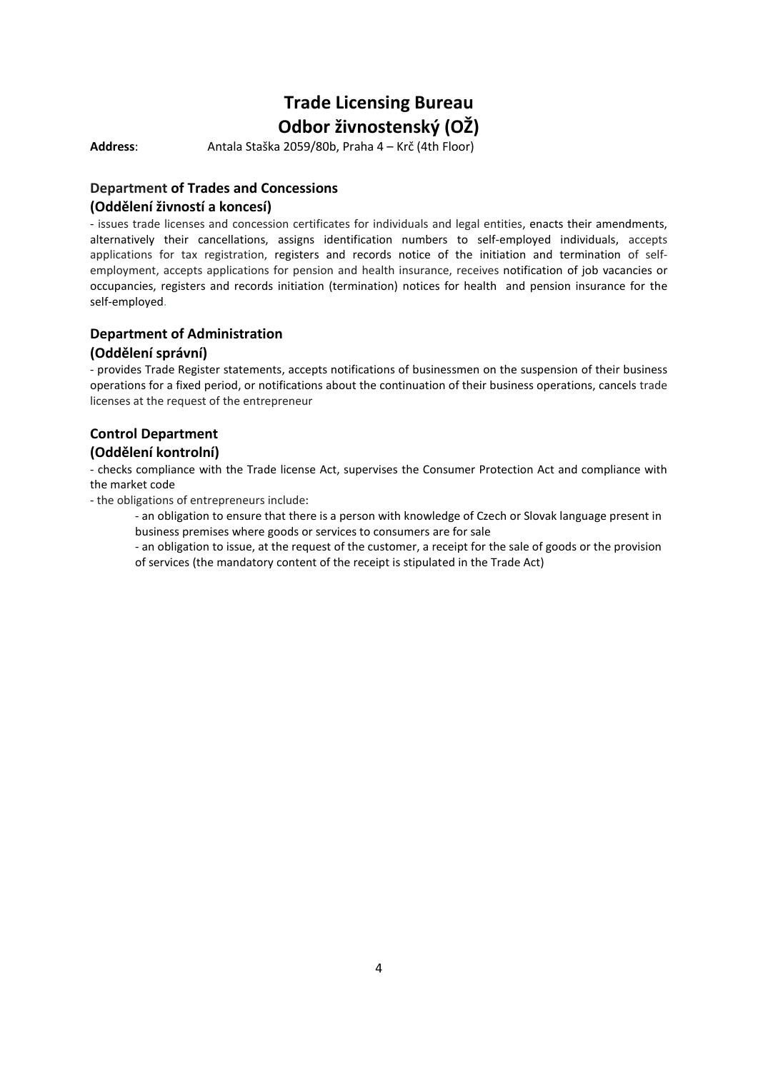# **Trade Licensing Bureau Odbor živnostenský (ΟŽ)**

Address: Antala Staška 2059/80b, Praha 4 – Krč (4th Floor)

## **Department of Trades and Concessions (OdděleŶí živŶostí a koŶĐesí)**

- issues trade licenses and concession certificates for individuals and legal entities, enacts their amendments, alternatively their cancellations, assigns identification numbers to self-employed individuals, accepts applications for tax registration, registers and records notice of the initiation and termination of selfemployment, accepts applications for pension and health insurance, receives notification of job vacancies or occupancies, registers and records initiation (termination) notices for health and pension insurance for the self-employed.

# **Department of Administration**

#### **(OdděleŶí správŶí)**

- provides Trade Register statements, accepts notifications of businessmen on the suspension of their business operations for a fixed period, or notifications about the continuation of their business operations, cancels trade licenses at the request of the entrepreneur

# **Control Department**

### **(OdděleŶí koŶtrolŶí)**

- checks compliance with the Trade license Act, supervises the Consumer Protection Act and compliance with the market code

- the obligations of entrepreneurs include:

 - an obligation to ensure that there is a person with knowledge of Czech or Slovak language present in business premises where goods or services to consumers are for sale

- an obligation to issue, at the request of the customer, a receipt for the sale of goods or the provision of services (the mandatory content of the receipt is stipulated in the Trade Act)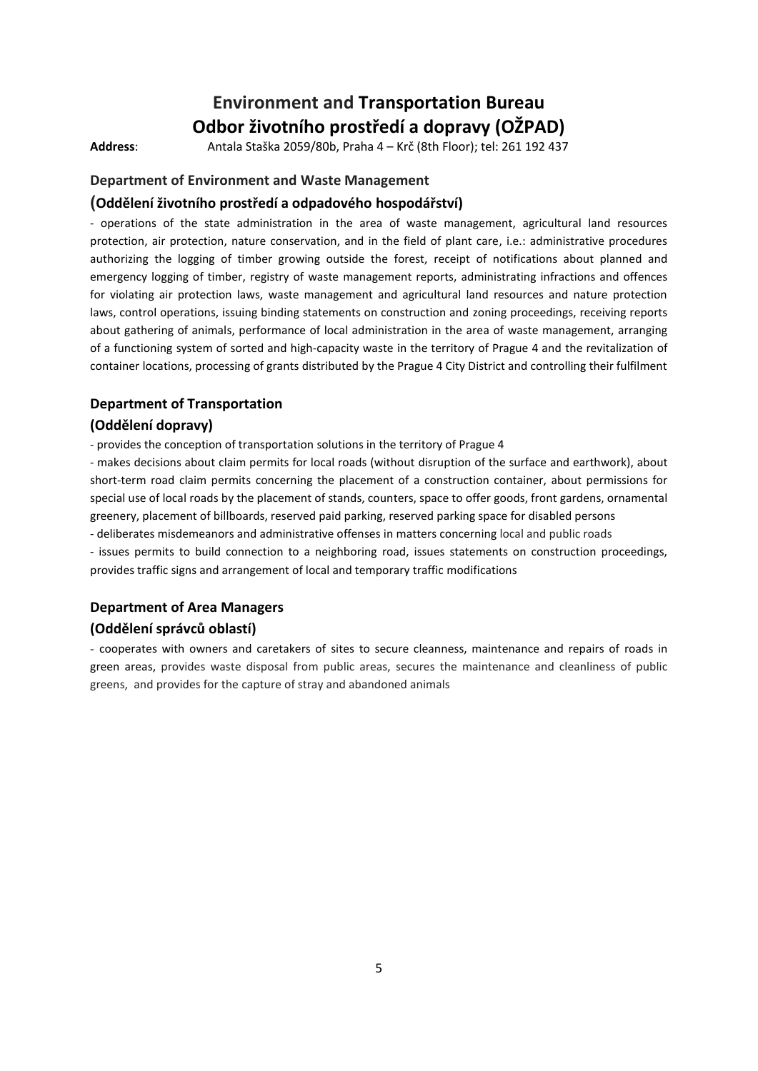# **Environment and Transportation Bureau Odbor životního prostředí a dopravy (OŽPAD)**

**Address**: Antala Staška 2059/80b, Praha 4 – Krč (8th Floor); tel: 261 192 437

#### **Department of Environment and Waste Management**

#### **(OdděleŶí životŶího prostředí a odpadového hospodářství)**

- operations of the state administration in the area of waste management, agricultural land resources protection, air protection, nature conservation, and in the field of plant care, i.e.: administrative procedures authorizing the logging of timber growing outside the forest, receipt of notifications about planned and emergency logging of timber, registry of waste management reports, administrating infractions and offences for violating air protection laws, waste management and agricultural land resources and nature protection laws, control operations, issuing binding statements on construction and zoning proceedings, receiving reports about gathering of animals, performance of local administration in the area of waste management, arranging of a functioning system of sorted and high-capacity waste in the territory of Prague 4 and the revitalization of container locations, processing of grants distributed by the Prague 4 City District and controlling their fulfilment

#### **Department of Transportation**

#### **(OdděleŶí dopravy)**

- provides the conception of transportation solutions in the territory of Prague 4

- makes decisions about claim permits for local roads (without disruption of the surface and earthwork), about short-term road claim permits concerning the placement of a construction container, about permissions for special use of local roads by the placement of stands, counters, space to offer goods, front gardens, ornamental greenery, placement of billboards, reserved paid parking, reserved parking space for disabled persons

- deliberates misdemeanors and administrative offenses in matters concerning local and public roads

- issues permits to build connection to a neighboring road, issues statements on construction proceedings, provides traffic signs and arrangement of local and temporary traffic modifications

## **Department of Area Managers (OdděleŶí správĐů oďlastí)**

- cooperates with owners and caretakers of sites to secure cleanness, maintenance and repairs of roads in green areas, provides waste disposal from public areas, secures the maintenance and cleanliness of public greens, and provides for the capture of stray and abandoned animals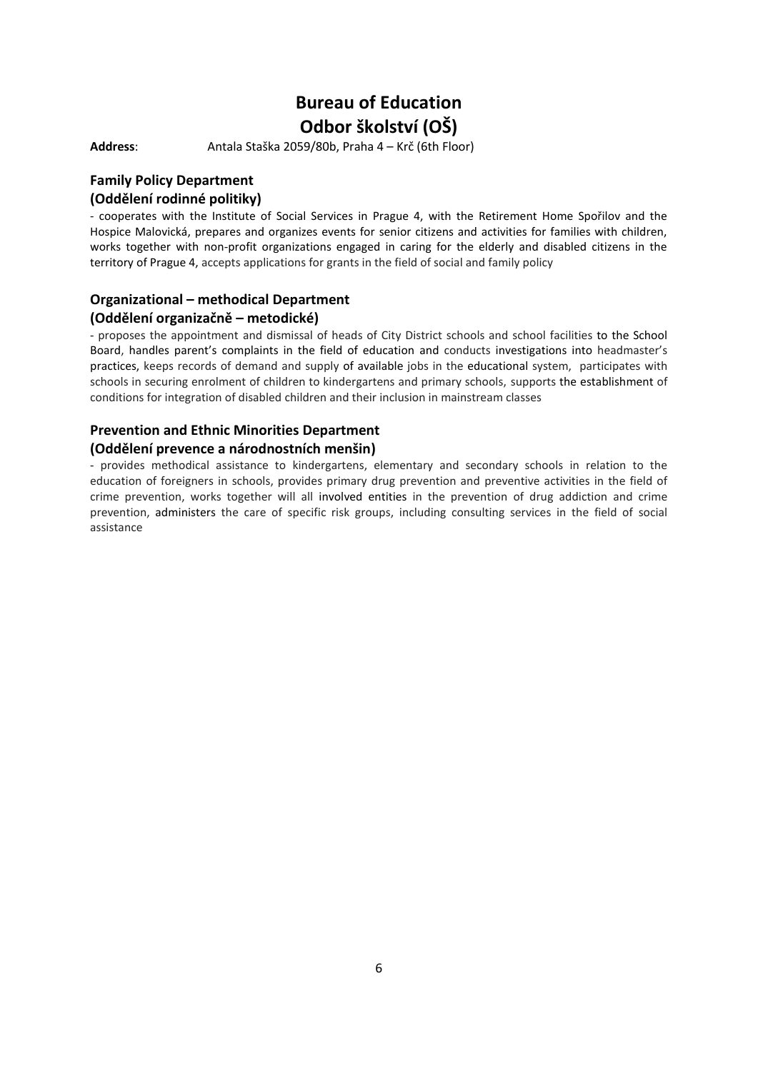# **Bureau of Education Odbor školství (OŠ)**

Address: Antala Staška 2059/80b, Praha 4 – Krč (6th Floor)

#### **Family Policy Department (OdděleŶí rodiŶŶé politiky)**

- cooperates with the Institute of Social Services in Prague 4, with the Retirement Home Spořilov and the Hospice Malovická, prepares and organizes events for senior citizens and activities for families with children, works together with non-profit organizations engaged in caring for the elderly and disabled citizens in the territory of Prague 4, accepts applications for grants in the field of social and family policy

## **Organizational – methodical Department**

#### **(Oddělení organizačně – metodické)**

- proposes the appointment and dismissal of heads of City District schools and school facilities to the School Board, handles parent's complaints in the field of education and conducts investigations into headmaster's practices, keeps records of demand and supply of available jobs in the educational system, participates with schools in securing enrolment of children to kindergartens and primary schools, supports the establishment of conditions for integration of disabled children and their inclusion in mainstream classes

# **Prevention and Ethnic Minorities Department**

#### **(Oddělení prevence a národnostních menšin)**

- provides methodical assistance to kindergartens, elementary and secondary schools in relation to the education of foreigners in schools, provides primary drug prevention and preventive activities in the field of crime prevention, works together will all involved entities in the prevention of drug addiction and crime prevention, administers the care of specific risk groups, including consulting services in the field of social assistance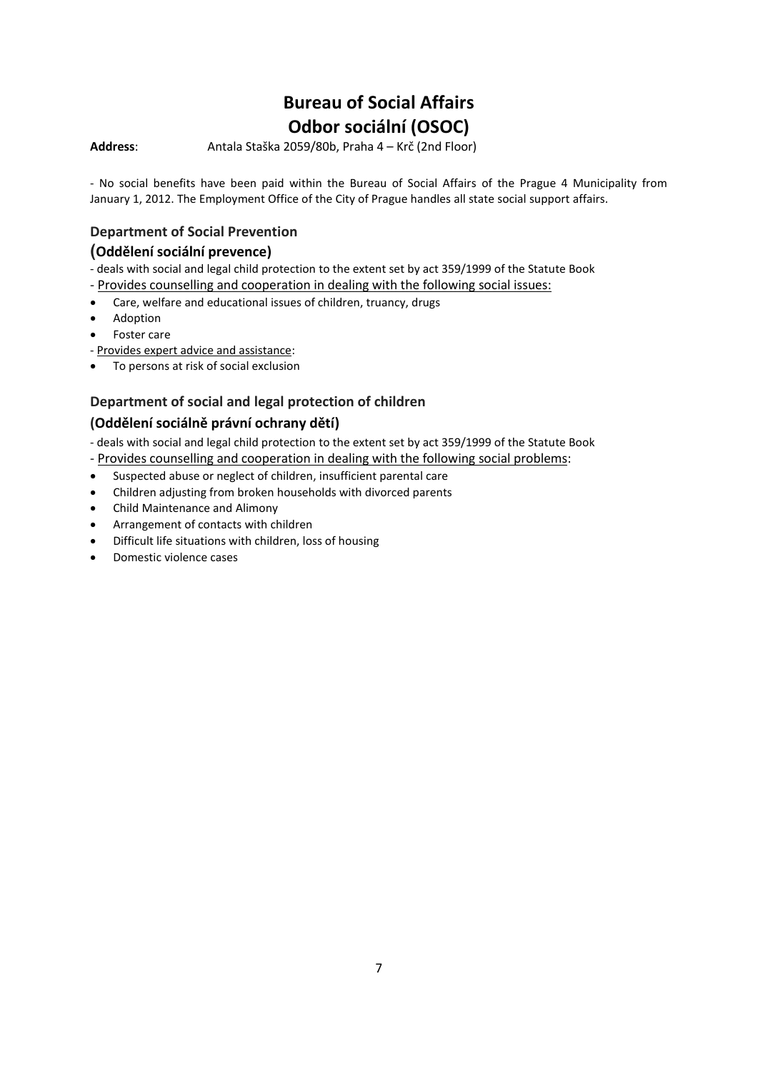# **Bureau of Social Affairs Odbor sociální (OSOC)**

**Address:** Antala Staška 2059/80b, Praha 4 – Krč (2nd Floor)

- No social benefits have been paid within the Bureau of Social Affairs of the Prague 4 Municipality from January 1, 2012. The Employment Office of the City of Prague handles all state social support affairs.

## **Department of Social Prevention**

## $($ Oddělení sociální prevence)

- deals with social and legal child protection to the extent set by act 359/1999 of the Statute Book

- Provides counselling and cooperation in dealing with the following social issues:
- Care, welfare and educational issues of children, truancy, drugs
- Adoption
- Foster care
- Provides expert advice and assistance:
- To persons at risk of social exclusion

### **Department of social and legal protection of children**

### **(OdděleŶí soĐiálŶě právŶí oĐhraŶy dětí)**

- deals with social and legal child protection to the extent set by act 359/1999 of the Statute Book

- Provides counselling and cooperation in dealing with the following social problems:
- Suspected abuse or neglect of children, insufficient parental care
- Children adjusting from broken households with divorced parents
- Child Maintenance and Alimony
- Arrangement of contacts with children
- Difficult life situations with children, loss of housing
- Domestic violence cases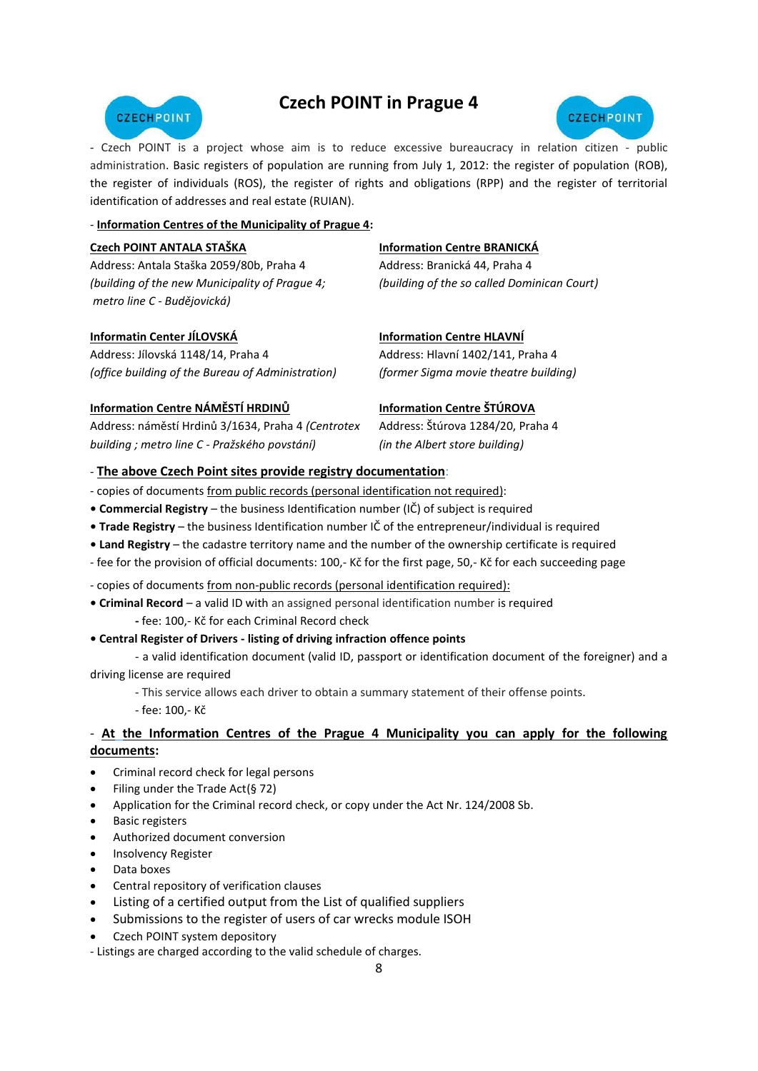# **Czech POINT in Prague 4**





- Czech POINT is a project whose aim is to reduce excessive bureaucracy in relation citizen - public administration. Basic registers of population are running from July 1, 2012: the register of population (ROB), the register of individuals (ROS), the register of rights and obligations (RPP) and the register of territorial identification of addresses and real estate (RUIAN).

#### - **Information Centres of the Municipality of Prague 4:**

| Czech POINT ANTALA STAŠKA                      | <b>Information Centre BRANICKÁ</b>          |
|------------------------------------------------|---------------------------------------------|
| Address: Antala Staška 2059/80b, Praha 4       | Address: Branická 44, Praha 4               |
| (building of the new Municipality of Prague 4; | (building of the so called Dominican Court) |
| metro line C - Budějovická)                    |                                             |

#### **[Informatin Center JÍLOVSKÁ](http://www.praha4.cz/Informacni-centrum-Jilovska.html)**

Address: Jílovská 1148/14, Praha 4 *(office building of the Bureau of Administration)* 

#### **[Information Centre HLAVNÍ](http://www.praha4.cz/Informacni-centrum-Hlavni.html)**

Address: Hlavní 1402/141, Praha 4 *(former Sigma movie theatre building)* 

#### **[Information Centre](http://www.praha4.cz/Informacni-centrum-namesti-Hrdinu.html) NÁMĚSTÍ HRDINŮ**

Address: náměstí Hrdinů 3/1634, Praha 4 *(Centrotex building ; metro line C - Pražského povstání)*

#### **[Information Centre](http://www.praha4.cz/Informacni-centrum-Sturova.html) ŠTÚROVA**

Address: Štúrova 1284/20, Praha 4 *(in the Albert store building)*

#### - **The above Czech Point sites provide registry documentation**:

- copies of documents from public records (personal identification not required):
- **Commercial Registry** the business Identification number (IČ) of subject is required
- **Trade Registry** the business Identification number IČ of the entrepreneur/individual is required
- **Land Registry**  the cadastre territory name and the number of the ownership certificate is required
- fee for the provision of official documents: 100,- Kč for the first page, 50,- Kč for each succeeding page
- copies of documents from non-public records (personal identification required):
- **• Criminal Record**  a valid ID with an assigned personal identification number is required  **-** fee: 100,- Kč for each Criminal Record check

#### **• Central Register of Drivers - listing of driving infraction offence points**

- a valid identification document (valid ID, passport or identification document of the foreigner) and a driving license are required

- This service allows each driver to obtain a summary statement of their offense points.

- fee: 100,- Kč

#### - **At the Information Centres of the Prague 4 Municipality you can apply for the following documents:**

- [Criminal r](http://www.czechpoint.cz/web/?q=node/578)ecord check for legal persons
- [Filing under the Trade Act\(§ 72\)](http://www.praha4.cz/Podani-podle-zivnostenskeho-zakona-72.html)
- Application for the Criminal [record check, or copy under the Act Nr. 124/2008 Sb.](http://www.czechpoint.cz/web/?q=node/253)
- [Basic r](http://www.czechpoint.cz/web/?q=node/587)egisters
- [Authorized d](http://www.praha4.cz/Autorizovana-konverze-dokumentu.html)ocument conversion
- [Insolvency R](http://www.praha4.cz/Vypis-z-insolvencniho-rejstriku.html)egister
- [Data](http://www.praha4.cz/Datove-schranky.html) boxes
- [Central r](http://www.czechpoint.cz/web/?q=node/449)epository of verification clauses
- Listing of a certified output from the List of qualified suppliers
- Submissions to the register of users of car wrecks module ISOH
- [Czech POINT s](http://www.czechpoint.cz/web/?q=node/450)ystem depository
- Listings are charged according to the valid schedule of charges.